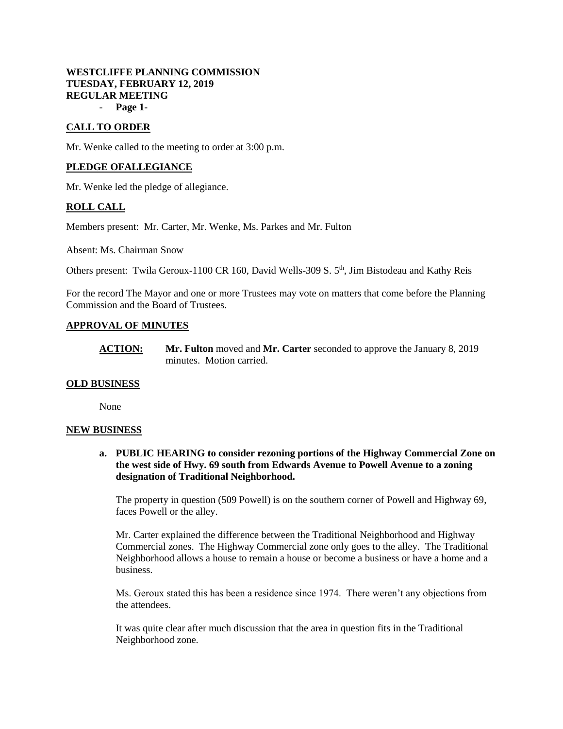# **WESTCLIFFE PLANNING COMMISSION TUESDAY, FEBRUARY 12, 2019 REGULAR MEETING**

- **Page 1-**

# **CALL TO ORDER**

Mr. Wenke called to the meeting to order at 3:00 p.m.

## **PLEDGE OFALLEGIANCE**

Mr. Wenke led the pledge of allegiance.

# **ROLL CALL**

Members present: Mr. Carter, Mr. Wenke, Ms. Parkes and Mr. Fulton

Absent: Ms. Chairman Snow

Others present: Twila Geroux-1100 CR 160, David Wells-309 S. 5<sup>th</sup>, Jim Bistodeau and Kathy Reis

For the record The Mayor and one or more Trustees may vote on matters that come before the Planning Commission and the Board of Trustees.

### **APPROVAL OF MINUTES**

**ACTION: Mr. Fulton** moved and **Mr. Carter** seconded to approve the January 8, 2019 minutes. Motion carried.

#### **OLD BUSINESS**

None

#### **NEW BUSINESS**

**a. PUBLIC HEARING to consider rezoning portions of the Highway Commercial Zone on the west side of Hwy. 69 south from Edwards Avenue to Powell Avenue to a zoning designation of Traditional Neighborhood.**

The property in question (509 Powell) is on the southern corner of Powell and Highway 69, faces Powell or the alley.

Mr. Carter explained the difference between the Traditional Neighborhood and Highway Commercial zones. The Highway Commercial zone only goes to the alley. The Traditional Neighborhood allows a house to remain a house or become a business or have a home and a business.

Ms. Geroux stated this has been a residence since 1974. There weren't any objections from the attendees.

It was quite clear after much discussion that the area in question fits in the Traditional Neighborhood zone.